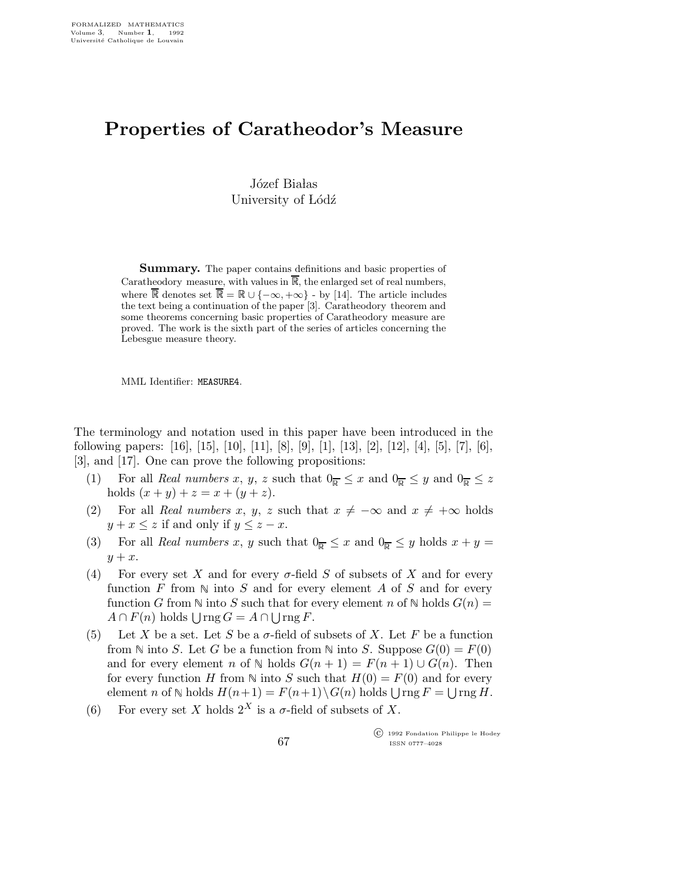## Properties of Caratheodor's Measure

Józef Białas University of Lódź

Summary. The paper contains definitions and basic properties of Caratheodory measure, with values in  $\mathbb{R}$ , the enlarged set of real numbers, where  $\mathbb R$  denotes set  $\mathbb R = \mathbb R \cup \{-\infty, +\infty\}$  - by [14]. The article includes the text being a continuation of the paper [3]. Caratheodory theorem and some theorems concerning basic properties of Caratheodory measure are proved. The work is the sixth part of the series of articles concerning the Lebesgue measure theory.

MML Identifier: MEASURE4.

The terminology and notation used in this paper have been introduced in the following papers: [16], [15], [10], [11], [8], [9], [1], [13], [2], [12], [4], [5], [7], [6], [3], and [17]. One can prove the following propositions:

- (1) For all Real numbers x, y, z such that  $0_{\overline{R}} \leq x$  and  $0_{\overline{R}} \leq y$  and  $0_{\overline{R}} \leq z$ holds  $(x + y) + z = x + (y + z)$ .
- (2) For all Real numbers x, y, z such that  $x \neq -\infty$  and  $x \neq +\infty$  holds  $y + x \leq z$  if and only if  $y \leq z - x$ .
- (3) For all Real numbers x, y such that  $0_{\overline{R}} \leq x$  and  $0_{\overline{R}} \leq y$  holds  $x + y =$  $y + x$ .
- (4) For every set X and for every  $\sigma$ -field S of subsets of X and for every function  $F$  from  $\mathbb N$  into  $S$  and for every element  $A$  of  $S$  and for every function G from  $\mathbb N$  into S such that for every element n of  $\mathbb N$  holds  $G(n)$  =  $A \cap F(n)$  holds  $\bigcup \text{rng } G = A \cap \bigcup \text{rng } F.$
- (5) Let X be a set. Let S be a  $\sigma$ -field of subsets of X. Let F be a function from N into S. Let G be a function from N into S. Suppose  $G(0) = F(0)$ and for every element n of  $\mathbb N$  holds  $G(n+1) = F(n+1) \cup G(n)$ . Then for every function H from  $\mathbb N$  into S such that  $H(0) = F(0)$  and for every element *n* of  $\mathbb N$  holds  $H(n+1) = F(n+1) \setminus G(n)$  holds  $\bigcup \text{rng } F = \bigcup \text{rng } H$ .
- (6) For every set X holds  $2^X$  is a  $\sigma$ -field of subsets of X.

 c 1992 Fondation Philippe le Hodey ISSN 0777–4028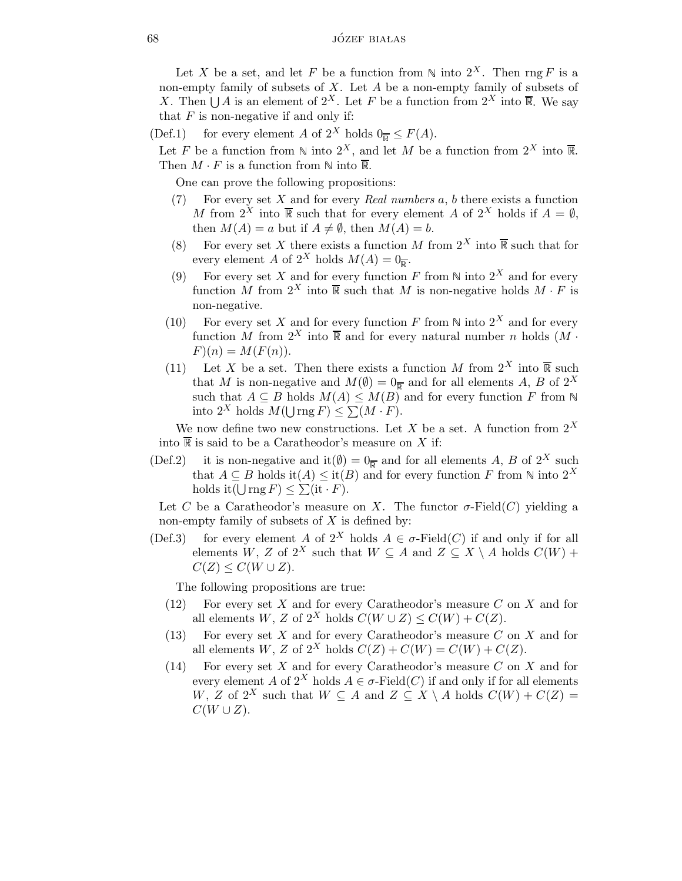Let X be a set, and let F be a function from  $\mathbb N$  into  $2^X$ . Then rng F is a non-empty family of subsets of  $X$ . Let  $A$  be a non-empty family of subsets of X. Then  $\bigcup A$  is an element of  $2^X$ . Let F be a function from  $2^X$  into  $\overline{\mathbb{R}}$ . We say that  $F$  is non-negative if and only if:

(Def.1) for every element A of  $2^X$  holds  $0_{\overline{p}} \leq F(A)$ .

Let F be a function from  $\mathbb N$  into  $2^X$ , and let M be a function from  $2^X$  into  $\overline{\mathbb R}$ . Then  $M \cdot F$  is a function from  $\mathbb N$  into  $\overline{\mathbb{R}}$ .

One can prove the following propositions:

- For every set  $X$  and for every Real numbers  $a, b$  there exists a function M from  $2^X$  into  $\overline{\mathbb{R}}$  such that for every element A of  $2^X$  holds if  $A = \emptyset$ , then  $M(A) = a$  but if  $A \neq \emptyset$ , then  $M(A) = b$ .
- (8) For every set X there exists a function M from  $2^X$  into  $\overline{\mathbb{R}}$  such that for (8) For every set X there exists a function<br>every element A of  $2^X$  holds  $M(A) = 0_{\overline{R}}$ .
- (9) For every set X and for every function F from  $\mathbb N$  into  $2^X$  and for every function M from  $2^X$  into  $\overline{\mathbb{R}}$  such that M is non-negative holds  $M \cdot F$  is non-negative.
- (10) For every set X and for every function F from  $\mathbb N$  into  $2^X$  and for every function  $\tilde{M}$  from  $2^X$  into  $\overline{\mathbb{R}}$  and for every natural number n holds  $(M \cdot$  $F(n) = M(F(n)).$
- (11) Let X be a set. Then there exists a function M from  $2^X$  into  $\overline{\mathbb{R}}$  such that M is non-negative and  $M(\emptyset) = 0_{\overline{\mathbb{R}}}$  and for all elements A, B of  $2^X$ such that  $A \subseteq B$  holds  $M(A) \leq M(B)$  and for every function F from N into  $2^X$  holds  $M(\bigcup_{F \in \mathcal{F}} \text{rng } F) \leq \sum_{F} (M \cdot F).$

We now define two new constructions. Let X be a set. A function from  $2^X$ into  $\overline{\mathbb{R}}$  is said to be a Caratheodor's measure on X if:

(Def.2) it is non-negative and it( $\emptyset$ ) =  $0_{\overline{R}}$  and for all elements A, B of 2<sup>X</sup> such that  $A \subseteq B$  holds it $(A) \leq$  it $(B)$  and for every function F from  $\mathbb N$  into  $2^X$ holds it  $(\bigcup \text{rng } F) \leq \sum (\text{it } \cdot F)$ .

Let C be a Caratheodor's measure on X. The functor  $\sigma$ -Field(C) yielding a non-empty family of subsets of  $X$  is defined by:

(Def.3) for every element A of  $2^X$  holds  $A \in \sigma$ -Field(C) if and only if for all elements W, Z of  $2^X$  such that  $W \subseteq A$  and  $Z \subseteq X \setminus A$  holds  $C(W)$  +  $C(Z) \leq C(W \cup Z)$ .

The following propositions are true:

- (12) For every set  $X$  and for every Caratheodor's measure  $C$  on  $X$  and for all elements W, Z of  $2^X$  holds  $C(W \cup Z) \leq C(W) + C(Z)$ .
- (13) For every set  $X$  and for every Caratheodor's measure  $C$  on  $X$  and for all elements W, Z of  $2^X$  holds  $C(Z) + C(W) = C(W) + C(Z)$ .
- (14) For every set  $X$  and for every Caratheodor's measure  $C$  on  $X$  and for every element A of  $2^X$  holds  $A \in \sigma$ -Field $(C)$  if and only if for all elements W, Z of  $2^X$  such that  $W \subseteq A$  and  $Z \subseteq X \setminus A$  holds  $C(W) + C(Z) =$  $C(W\cup Z)$ .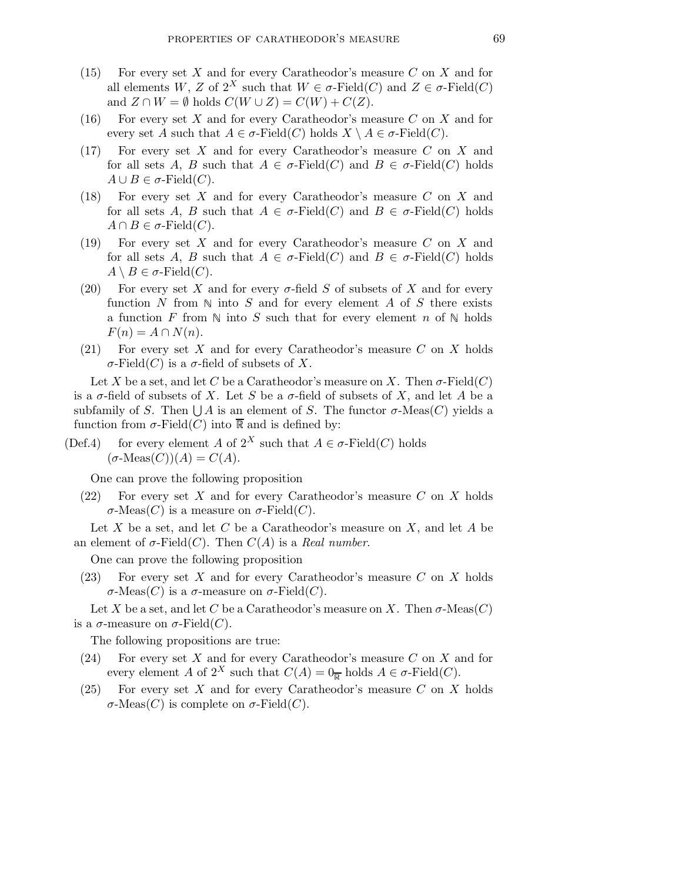- (15) For every set  $X$  and for every Caratheodor's measure  $C$  on  $X$  and for all elements W, Z of  $2^X$  such that  $W \in \sigma$ -Field $(C)$  and  $Z \in \sigma$ -Field $(C)$ and  $Z \cap W = \emptyset$  holds  $C(W \cup Z) = C(W) + C(Z)$ .
- (16) For every set X and for every Caratheodor's measure C on X and for every set A such that  $A \in \sigma$ -Field(C) holds  $X \setminus A \in \sigma$ -Field(C).
- (17) For every set X and for every Caratheodor's measure C on X and for all sets A, B such that  $A \in \sigma$ -Field(C) and  $B \in \sigma$ -Field(C) holds  $A \cup B \in \sigma$ -Field $(C)$ .
- (18) For every set X and for every Caratheodor's measure C on X and for all sets A, B such that  $A \in \sigma$ -Field(C) and  $B \in \sigma$ -Field(C) holds  $A \cap B \in \sigma$ -Field $(C)$ .
- (19) For every set X and for every Caratheodor's measure C on X and for all sets A, B such that  $A \in \sigma$ -Field(C) and  $B \in \sigma$ -Field(C) holds  $A \setminus B \in \sigma$ -Field $(C)$ .
- (20) For every set X and for every  $\sigma$ -field S of subsets of X and for every function N from  $\mathbb N$  into S and for every element A of S there exists a function F from  $\mathbb N$  into S such that for every element n of  $\mathbb N$  holds  $F(n) = A \cap N(n).$
- (21) For every set X and for every Caratheodor's measure  $C$  on X holds σ-Field(C) is a σ-field of subsets of X.

Let X be a set, and let C be a Caratheodor's measure on X. Then  $\sigma$ -Field(C) is a  $\sigma$ -field of subsets of X. Let S be a  $\sigma$ -field of subsets of X, and let A be a subfamily of S. Then  $\bigcup A$  is an element of S. The functor  $\sigma$ -Meas $(C)$  yields a function from  $\sigma$ -Field $(C)$  into  $\overline{\mathbb{R}}$  and is defined by:

(Def.4) for every element A of  $2^X$  such that  $A \in \sigma$ -Field(C) holds  $(\sigma\text{-Meas}(C))(A) = C(A).$ 

One can prove the following proposition

 $(22)$  For every set X and for every Caratheodor's measure C on X holds σ-Meas(C) is a measure on σ-Field(C).

Let X be a set, and let C be a Caratheodor's measure on X, and let A be an element of  $\sigma$ -Field(*C*). Then  $C(A)$  is a *Real number*.

One can prove the following proposition

 $(23)$  For every set X and for every Caratheodor's measure C on X holds σ-Meas(C) is a σ-measure on σ-Field(C).

Let X be a set, and let C be a Caratheodor's measure on X. Then  $\sigma$ -Meas $(C)$ is a  $\sigma$ -measure on  $\sigma$ -Field(*C*).

The following propositions are true:

- (24) For every set X and for every Caratheodor's measure  $C$  on X and for every element A of  $2^X$  such that  $C(A) = 0_{\overline{R}}$  holds  $A \in \sigma$ -Field $(C)$ .
- (25) For every set  $X$  and for every Caratheodor's measure  $C$  on  $X$  holds σ-Meas(C) is complete on σ-Field(C).